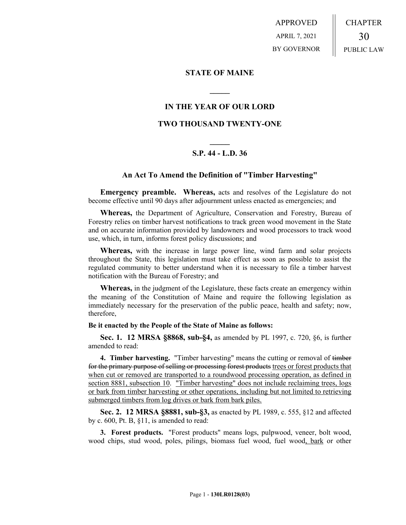APPROVED APRIL 7, 2021 BY GOVERNOR CHAPTER 30 PUBLIC LAW

### **STATE OF MAINE**

## **IN THE YEAR OF OUR LORD**

**\_\_\_\_\_**

### **TWO THOUSAND TWENTY-ONE**

# **\_\_\_\_\_ S.P. 44 - L.D. 36**

### **An Act To Amend the Definition of "Timber Harvesting"**

**Emergency preamble. Whereas,** acts and resolves of the Legislature do not become effective until 90 days after adjournment unless enacted as emergencies; and

**Whereas,** the Department of Agriculture, Conservation and Forestry, Bureau of Forestry relies on timber harvest notifications to track green wood movement in the State and on accurate information provided by landowners and wood processors to track wood use, which, in turn, informs forest policy discussions; and

**Whereas,** with the increase in large power line, wind farm and solar projects throughout the State, this legislation must take effect as soon as possible to assist the regulated community to better understand when it is necessary to file a timber harvest notification with the Bureau of Forestry; and

**Whereas,** in the judgment of the Legislature, these facts create an emergency within the meaning of the Constitution of Maine and require the following legislation as immediately necessary for the preservation of the public peace, health and safety; now, therefore,

#### **Be it enacted by the People of the State of Maine as follows:**

**Sec. 1. 12 MRSA §8868, sub-§4,** as amended by PL 1997, c. 720, §6, is further amended to read:

**4. Timber harvesting.** "Timber harvesting" means the cutting or removal of timber for the primary purpose of selling or processing forest products trees or forest products that when cut or removed are transported to a roundwood processing operation, as defined in section 8881, subsection 10. "Timber harvesting" does not include reclaiming trees, logs or bark from timber harvesting or other operations, including but not limited to retrieving submerged timbers from log drives or bark from bark piles.

**Sec. 2. 12 MRSA §8881, sub-§3,** as enacted by PL 1989, c. 555, §12 and affected by c. 600, Pt. B, §11, is amended to read:

**3. Forest products.** "Forest products" means logs, pulpwood, veneer, bolt wood, wood chips, stud wood, poles, pilings, biomass fuel wood, fuel wood, bark or other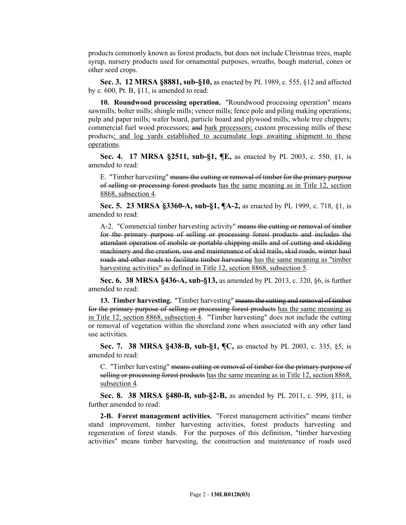products commonly known as forest products, but does not include Christmas trees, maple syrup, nursery products used for ornamental purposes, wreaths, bough material, cones or other seed crops.

**Sec. 3. 12 MRSA §8881, sub-§10,** as enacted by PL 1989, c. 555, §12 and affected by c. 600, Pt. B, §11, is amended to read:

**10. Roundwood processing operation.** "Roundwood processing operation" means sawmills; bolter mills; shingle mills; veneer mills; fence pole and piling making operations; pulp and paper mills; wafer board, particle board and plywood mills; whole tree chippers; commercial fuel wood processors; and bark processors; custom processing mills of these products; and log yards established to accumulate logs awaiting shipment to these operations.

**Sec. 4. 17 MRSA §2511, sub-§1, ¶E,** as enacted by PL 2003, c. 550, §1, is amended to read:

E. "Timber harvesting" means the cutting or removal of timber for the primary purpose of selling or processing forest products has the same meaning as in Title 12, section 8868, subsection 4.

**Sec. 5. 23 MRSA §3360-A, sub-§1, ¶A-2,** as enacted by PL 1999, c. 718, §1, is amended to read:

A-2. "Commercial timber harvesting activity" means the cutting or removal of timber for the primary purpose of selling or processing forest products and includes the attendant operation of mobile or portable chipping mills and of cutting and skidding machinery and the creation, use and maintenance of skid trails, skid roads, winter haul roads and other roads to facilitate timber harvesting has the same meaning as "timber harvesting activities" as defined in Title 12, section 8868, subsection 5.

**Sec. 6. 38 MRSA §436-A, sub-§13,** as amended by PL 2013, c. 320, §6, is further amended to read:

**13. Timber harvesting.** "Timber harvesting" means the cutting and removal of timber for the primary purpose of selling or processing forest products has the same meaning as in Title 12, section 8868, subsection 4. "Timber harvesting" does not include the cutting or removal of vegetation within the shoreland zone when associated with any other land use activities.

**Sec. 7. 38 MRSA §438-B, sub-§1, ¶C,** as enacted by PL 2003, c. 335, §5, is amended to read:

C. "Timber harvesting" means cutting or removal of timber for the primary purpose of selling or processing forest products has the same meaning as in Title 12, section 8868, subsection 4.

**Sec. 8. 38 MRSA §480-B, sub-§2-B,** as amended by PL 2011, c. 599, §11, is further amended to read:

**2-B. Forest management activities.** "Forest management activities" means timber stand improvement, timber harvesting activities, forest products harvesting and regeneration of forest stands. For the purposes of this definition, "timber harvesting activities" means timber harvesting, the construction and maintenance of roads used